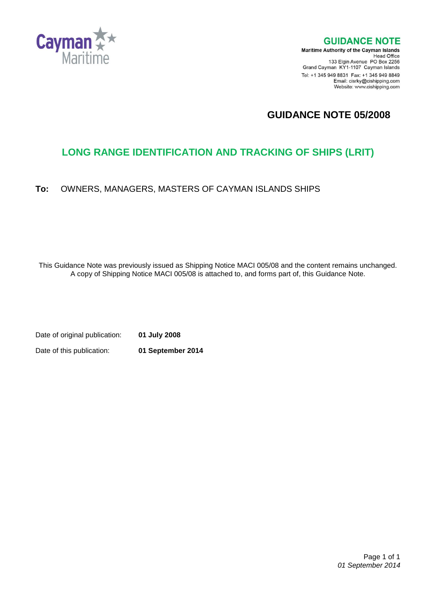

**GUIDANCE NOTE** 

**Maritime Authority of the Cayman Islands** Head Office<br>Head Office<br>133 Elgin Avenue PO Box 2256 Grand Cayman KY1-1107 Cayman Islands Tel: +1 345 949 8831 Fax: +1 345 949 8849 Email: cisrky@cishipping.com Website: www.cishipping.com

## **GUIDANCE NOTE 05/2008**

# **LONG RANGE IDENTIFICATION AND TRACKING OF SHIPS (LRIT)**

**To:** OWNERS, MANAGERS, MASTERS OF CAYMAN ISLANDS SHIPS

This Guidance Note was previously issued as Shipping Notice MACI 005/08 and the content remains unchanged. A copy of Shipping Notice MACI 005/08 is attached to, and forms part of, this Guidance Note.

Date of original publication: **01 July 2008** Date of this publication: **01 September 2014**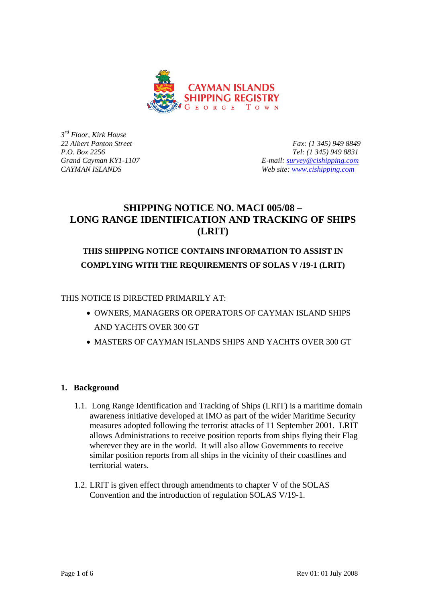

*3rd Floor, Kirk House* 

*22 Albert Panton Street Fax: (1 345) 949 8849 P.O. Box 2256 Tel: (1 345) 949 8831 Grand Cayman KY1-1107 E-mail: [survey@cishipping.com](mailto:survey@cishipping.com) CAYMAN ISLANDS Web site: [www.cishipping.com](http://www.cishipping.com/)*

### **SHIPPING NOTICE NO. MACI 005/08 – LONG RANGE IDENTIFICATION AND TRACKING OF SHIPS (LRIT)**

# **THIS SHIPPING NOTICE CONTAINS INFORMATION TO ASSIST IN COMPLYING WITH THE REQUIREMENTS OF SOLAS V /19-1 (LRIT)**

THIS NOTICE IS DIRECTED PRIMARILY AT:

- OWNERS, MANAGERS OR OPERATORS OF CAYMAN ISLAND SHIPS AND YACHTS OVER 300 GT
- MASTERS OF CAYMAN ISLANDS SHIPS AND YACHTS OVER 300 GT

### **1. Background**

- 1.1. Long Range Identification and Tracking of Ships (LRIT) is a maritime domain awareness initiative developed at IMO as part of the wider Maritime Security measures adopted following the terrorist attacks of 11 September 2001. LRIT allows Administrations to receive position reports from ships flying their Flag wherever they are in the world. It will also allow Governments to receive similar position reports from all ships in the vicinity of their coastlines and territorial waters.
- 1.2. LRIT is given effect through amendments to chapter V of the SOLAS Convention and the introduction of regulation SOLAS V/19-1.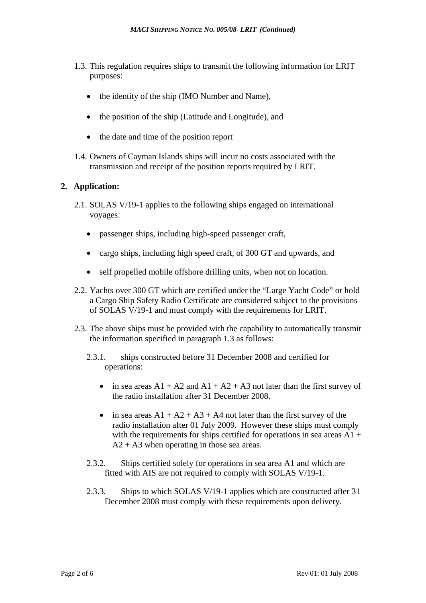- 1.3. This regulation requires ships to transmit the following information for LRIT purposes:
	- the identity of the ship (IMO Number and Name),
	- the position of the ship (Latitude and Longitude), and
	- the date and time of the position report
- 1.4. Owners of Cayman Islands ships will incur no costs associated with the transmission and receipt of the position reports required by LRIT.

#### **2. Application:**

- 2.1. SOLAS V/19-1 applies to the following ships engaged on international voyages:
	- passenger ships, including high-speed passenger craft,
	- cargo ships, including high speed craft, of 300 GT and upwards, and
	- self propelled mobile offshore drilling units, when not on location.
- 2.2. Yachts over 300 GT which are certified under the "Large Yacht Code" or hold a Cargo Ship Safety Radio Certificate are considered subject to the provisions of SOLAS V/19-1 and must comply with the requirements for LRIT.
- 2.3. The above ships must be provided with the capability to automatically transmit the information specified in paragraph 1.3 as follows:
	- 2.3.1. ships constructed before 31 December 2008 and certified for operations:
		- in sea areas  $A1 + A2$  and  $A1 + A2 + A3$  not later than the first survey of the radio installation after 31 December 2008.
		- in sea areas  $A1 + A2 + A3 + A4$  not later than the first survey of the radio installation after 01 July 2009. However these ships must comply with the requirements for ships certified for operations in sea areas  $A1 +$  $A2 + A3$  when operating in those sea areas.
	- 2.3.2. Ships certified solely for operations in sea area A1 and which are fitted with AIS are not required to comply with SOLAS V/19-1.
	- 2.3.3. Ships to which SOLAS V/19-1 applies which are constructed after 31 December 2008 must comply with these requirements upon delivery.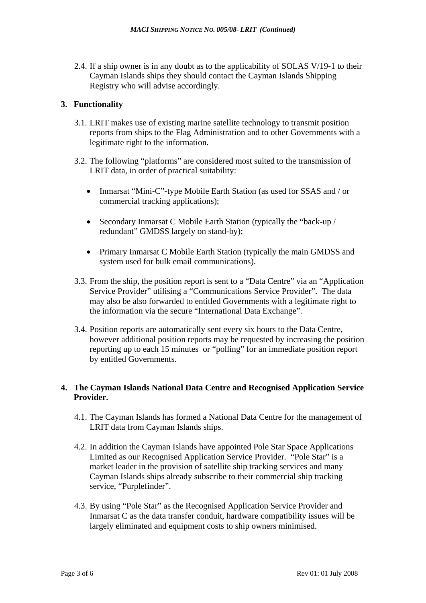2.4. If a ship owner is in any doubt as to the applicability of SOLAS V/19-1 to their Cayman Islands ships they should contact the Cayman Islands Shipping Registry who will advise accordingly.

#### **3. Functionality**

- 3.1. LRIT makes use of existing marine satellite technology to transmit position reports from ships to the Flag Administration and to other Governments with a legitimate right to the information.
- 3.2. The following "platforms" are considered most suited to the transmission of LRIT data, in order of practical suitability:
	- Inmarsat "Mini-C"-type Mobile Earth Station (as used for SSAS and / or commercial tracking applications);
	- Secondary Inmarsat C Mobile Earth Station (typically the "back-up / redundant" GMDSS largely on stand-by);
	- Primary Inmarsat C Mobile Earth Station (typically the main GMDSS and system used for bulk email communications).
- 3.3. From the ship, the position report is sent to a "Data Centre" via an "Application Service Provider" utilising a "Communications Service Provider". The data may also be also forwarded to entitled Governments with a legitimate right to the information via the secure "International Data Exchange".
- 3.4. Position reports are automatically sent every six hours to the Data Centre, however additional position reports may be requested by increasing the position reporting up to each 15 minutes or "polling" for an immediate position report by entitled Governments.

#### **4. The Cayman Islands National Data Centre and Recognised Application Service Provider.**

- 4.1. The Cayman Islands has formed a National Data Centre for the management of LRIT data from Cayman Islands ships.
- 4.2. In addition the Cayman Islands have appointed Pole Star Space Applications Limited as our Recognised Application Service Provider. "Pole Star" is a market leader in the provision of satellite ship tracking services and many Cayman Islands ships already subscribe to their commercial ship tracking service, "Purplefinder".
- 4.3. By using "Pole Star" as the Recognised Application Service Provider and Inmarsat C as the data transfer conduit, hardware compatibility issues will be largely eliminated and equipment costs to ship owners minimised.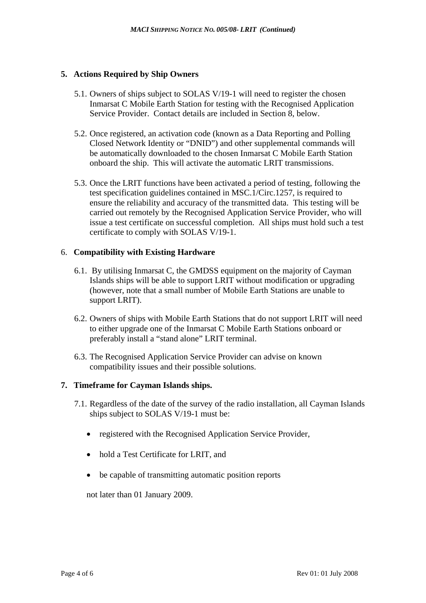#### **5. Actions Required by Ship Owners**

- 5.1. Owners of ships subject to SOLAS V/19-1 will need to register the chosen Inmarsat C Mobile Earth Station for testing with the Recognised Application Service Provider. Contact details are included in Section 8, below.
- 5.2. Once registered, an activation code (known as a Data Reporting and Polling Closed Network Identity or "DNID") and other supplemental commands will be automatically downloaded to the chosen Inmarsat C Mobile Earth Station onboard the ship. This will activate the automatic LRIT transmissions.
- 5.3. Once the LRIT functions have been activated a period of testing, following the test specification guidelines contained in MSC.1/Circ.1257, is required to ensure the reliability and accuracy of the transmitted data. This testing will be carried out remotely by the Recognised Application Service Provider, who will issue a test certificate on successful completion. All ships must hold such a test certificate to comply with SOLAS V/19-1.

### 6. **Compatibility with Existing Hardware**

- 6.1. By utilising Inmarsat C, the GMDSS equipment on the majority of Cayman Islands ships will be able to support LRIT without modification or upgrading (however, note that a small number of Mobile Earth Stations are unable to support LRIT).
- 6.2. Owners of ships with Mobile Earth Stations that do not support LRIT will need to either upgrade one of the Inmarsat C Mobile Earth Stations onboard or preferably install a "stand alone" LRIT terminal.
- 6.3. The Recognised Application Service Provider can advise on known compatibility issues and their possible solutions.

#### **7. Timeframe for Cayman Islands ships.**

- 7.1. Regardless of the date of the survey of the radio installation, all Cayman Islands ships subject to SOLAS V/19-1 must be:
	- registered with the Recognised Application Service Provider,
	- hold a Test Certificate for LRIT, and
	- be capable of transmitting automatic position reports

not later than 01 January 2009.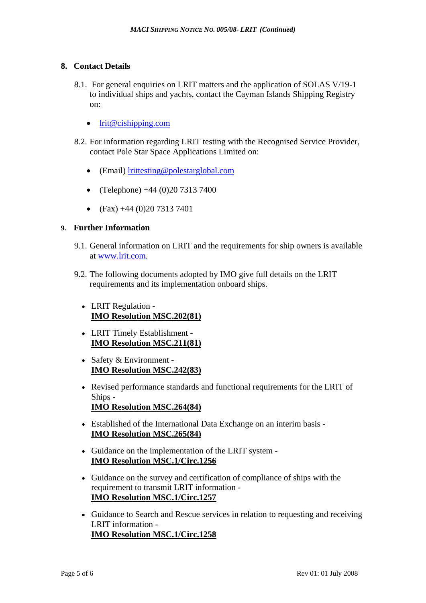#### **8. Contact Details**

- 8.1. For general enquiries on LRIT matters and the application of SOLAS V/19-1 to individual ships and yachts, contact the Cayman Islands Shipping Registry on:
	- [lrit@cishipping.com](mailto:lrit@cishipping.com)
- 8.2. For information regarding LRIT testing with the Recognised Service Provider, contact Pole Star Space Applications Limited on:
	- (Email) [lrittesting@polestarglobal.com](mailto:xxxx@polestar.com)
	- (Telephone)  $+44$  (0)20 7313 7400
	- $(Fax) +44(0)2073137401$

#### **9. Further Information**

- 9.1. General information on LRIT and the requirements for ship owners is available at [www.lrit.com.](http://www.lrit.com/)
- 9.2. The following documents adopted by IMO give full details on the LRIT requirements and its implementation onboard ships.
	- LRIT Regulation **[IMO Resolution MSC.202\(81\)](http://www.lrit.com/documents/imo_resolutions/Resolution%20MSC.202(81)%20-%20LRIT%20Regulation.pdf)**
	- LRIT Timely Establishment **[IMO Resolution MSC.211\(81\)](http://www.lrit.com/documents/imo_resolutions/Resolution%20MSC.211(81)%20-%20LRIT%20Timely%20Establishment.pdf)**
	- Safety & Environment -**[IMO Resolution MSC.242\(83\)](http://www.lrit.com/documents/imo_resolutions/Resolution%20MSC.242(83)%20-%20Safety_Environment.pdf)**
	- Revised performance standards and functional requirements for the LRIT of Ships - **[IMO Resolution MSC.264\(84\)](http://www.lrit.com/documents/imo_resolutions/MSC.264(84).pdf)**
	- Established of the International Data Exchange on an interim basis **[IMO Resolution MSC.265\(84\)](http://www.lrit.com/documents/imo_resolutions/MSC.265(84).pdf)**
	- Guidance on the implementation of the LRIT system **[IMO Resolution MSC.1/Circ.1256](http://www.lrit.com/documents/imo_resolutions/MSC.1-Circ.1256%20.pdf)**
	- Guidance on the survey and certification of compliance of ships with the requirement to transmit LRIT information - **[IMO Resolution MSC.1/Circ.1257](http://www.lrit.com/documents/imo_resolutions/MSC.1-Circ.1257.pdf)**
	- Guidance to Search and Rescue services in relation to requesting and receiving LRIT information - **[IMO Resolution MSC.1/Circ.1258](http://www.lrit.com/documents/imo_resolutions/MSC.1-Circ.1258.pdf)**